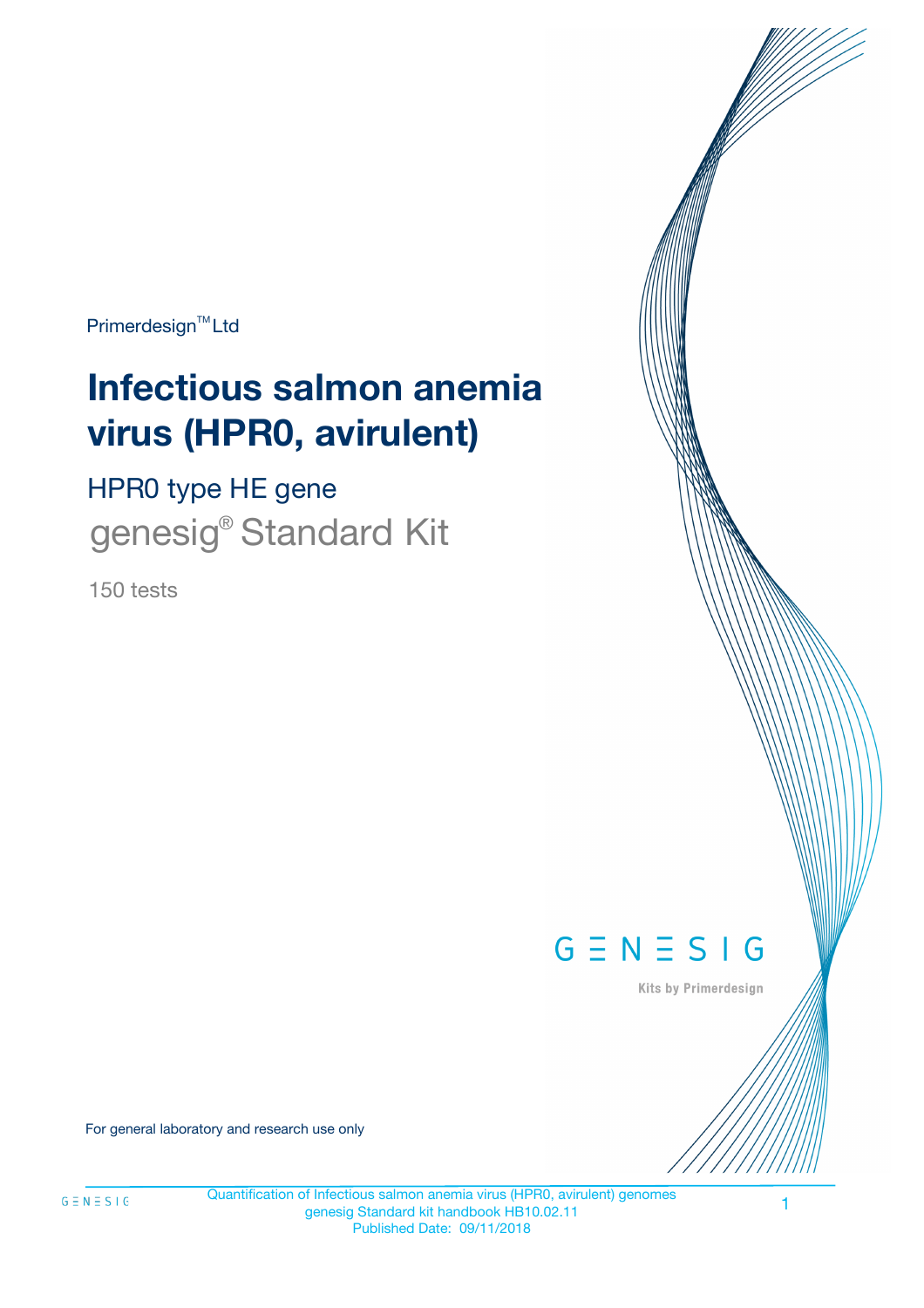Primerdesign<sup>™</sup>Ltd

# **Infectious salmon anemia virus (HPR0, avirulent)**

HPR0 type HE gene genesig<sup>®</sup> Standard Kit

150 tests



Kits by Primerdesign

For general laboratory and research use only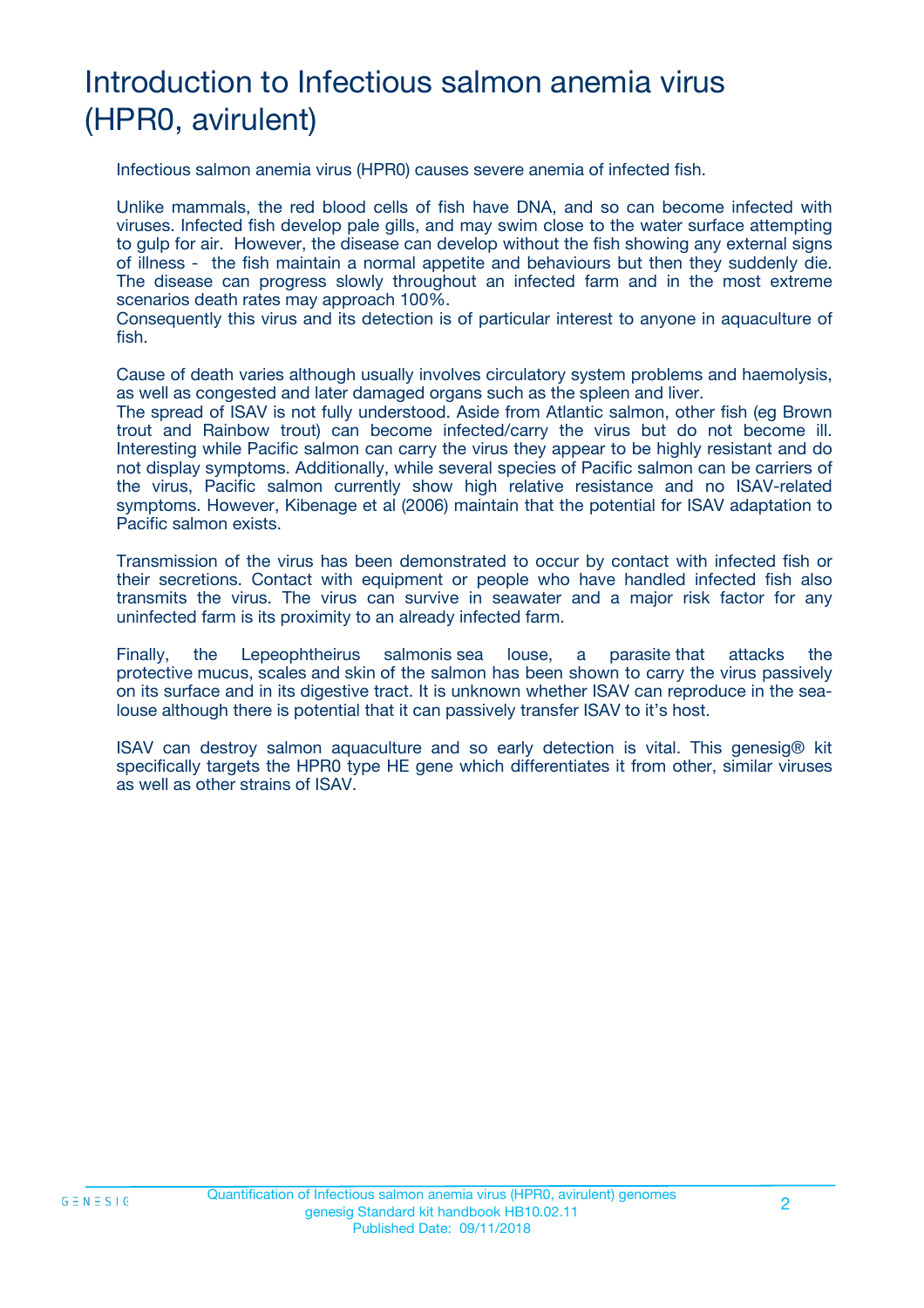# Introduction to Infectious salmon anemia virus (HPR0, avirulent)

Infectious salmon anemia virus (HPR0) causes severe anemia of infected fish.

Unlike mammals, the red blood cells of fish have DNA, and so can become infected with viruses. Infected fish develop pale gills, and may swim close to the water surface attempting to gulp for air. However, the disease can develop without the fish showing any external signs of illness - the fish maintain a normal appetite and behaviours but then they suddenly die. The disease can progress slowly throughout an infected farm and in the most extreme scenarios death rates may approach 100%.

Consequently this virus and its detection is of particular interest to anyone in aquaculture of fish.

Cause of death varies although usually involves circulatory system problems and haemolysis, as well as congested and later damaged organs such as the spleen and liver.

The spread of ISAV is not fully understood. Aside from Atlantic salmon, other fish (eg Brown trout and Rainbow trout) can become infected/carry the virus but do not become ill. Interesting while Pacific salmon can carry the virus they appear to be highly resistant and do not display symptoms. Additionally, while several species of Pacific salmon can be carriers of the virus, Pacific salmon currently show high relative resistance and no ISAV-related symptoms. However, Kibenage et al (2006) maintain that the potential for ISAV adaptation to Pacific salmon exists.

Transmission of the virus has been demonstrated to occur by contact with infected fish or their secretions. Contact with equipment or people who have handled infected fish also transmits the virus. The virus can survive in seawater and a major risk factor for any uninfected farm is its proximity to an already infected farm.

Finally, the Lepeophtheirus salmonis sea louse, a parasite that attacks the protective mucus, scales and skin of the salmon has been shown to carry the virus passively on its surface and in its digestive tract. It is unknown whether ISAV can reproduce in the sealouse although there is potential that it can passively transfer ISAV to it's host.

ISAV can destroy salmon aquaculture and so early detection is vital. This genesig® kit specifically targets the HPR0 type HE gene which differentiates it from other, similar viruses as well as other strains of ISAV.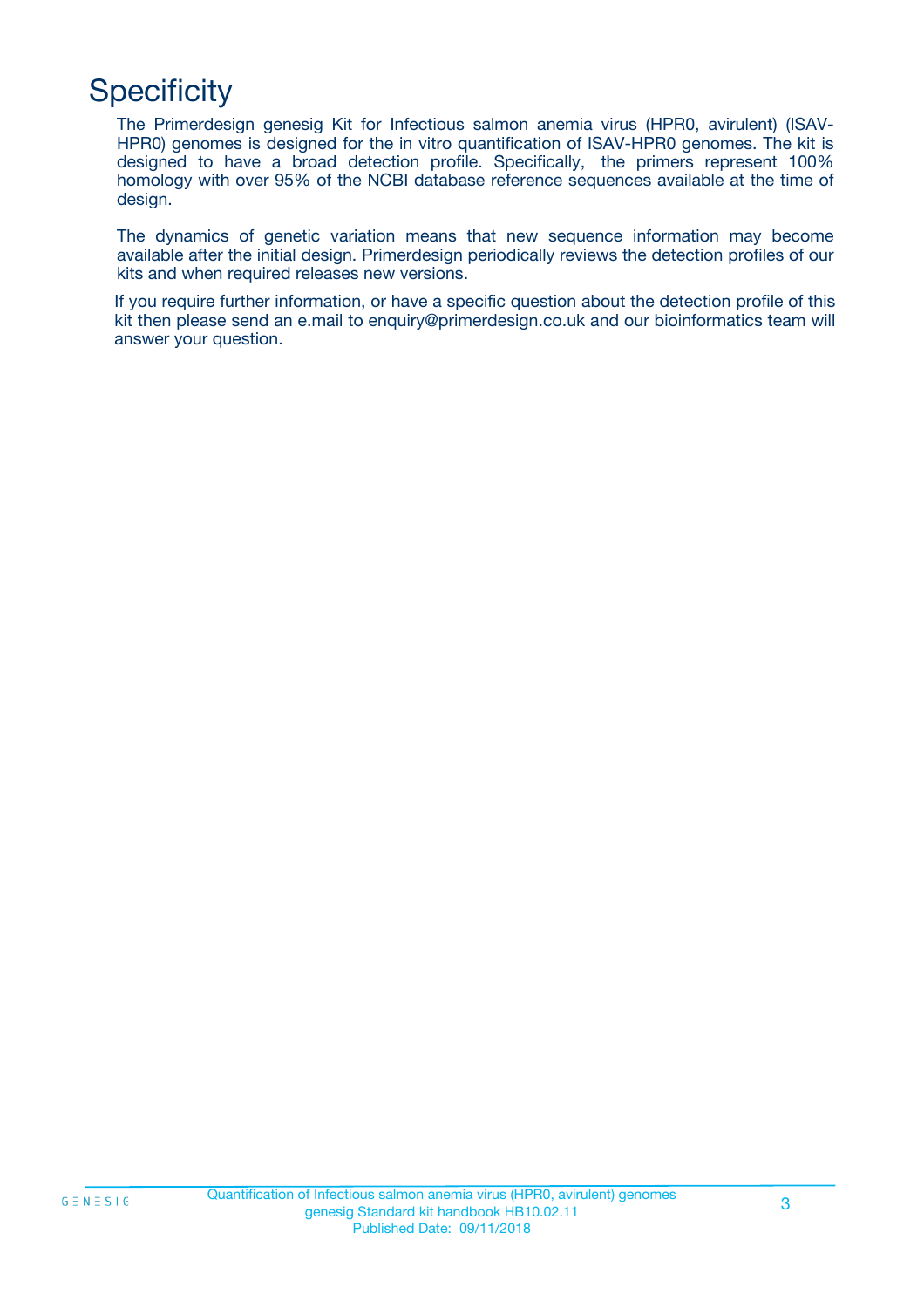# **Specificity**

The Primerdesign genesig Kit for Infectious salmon anemia virus (HPR0, avirulent) (ISAV-HPR0) genomes is designed for the in vitro quantification of ISAV-HPR0 genomes. The kit is designed to have a broad detection profile. Specifically, the primers represent 100% homology with over 95% of the NCBI database reference sequences available at the time of design.

The dynamics of genetic variation means that new sequence information may become available after the initial design. Primerdesign periodically reviews the detection profiles of our kits and when required releases new versions.

If you require further information, or have a specific question about the detection profile of this kit then please send an e.mail to enquiry@primerdesign.co.uk and our bioinformatics team will answer your question.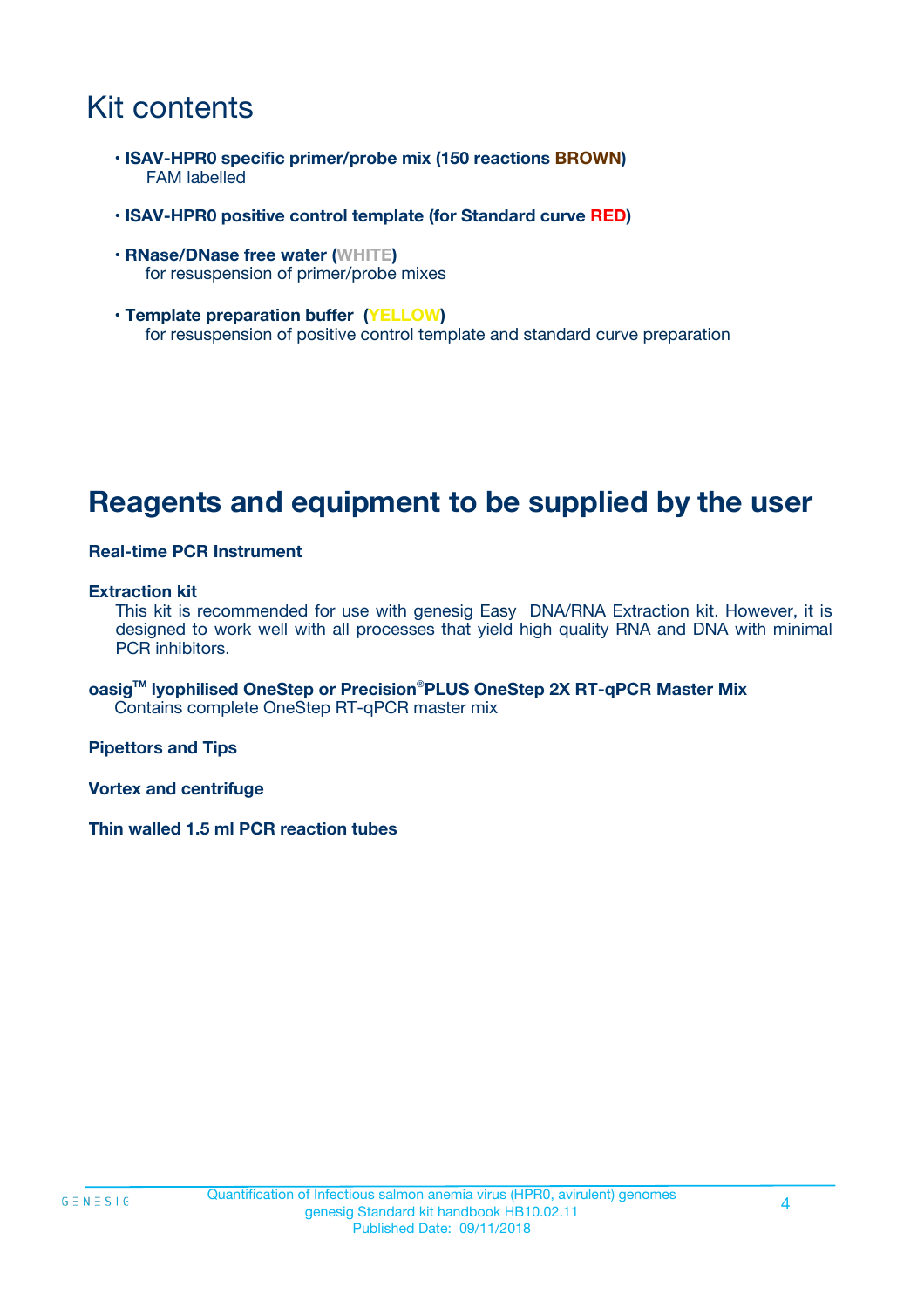# Kit contents

- **ISAV-HPR0 specific primer/probe mix (150 reactions BROWN)** FAM labelled
- **ISAV-HPR0 positive control template (for Standard curve RED)**
- **RNase/DNase free water (WHITE)** for resuspension of primer/probe mixes
- **Template preparation buffer (YELLOW)** for resuspension of positive control template and standard curve preparation

### **Reagents and equipment to be supplied by the user**

#### **Real-time PCR Instrument**

#### **Extraction kit**

This kit is recommended for use with genesig Easy DNA/RNA Extraction kit. However, it is designed to work well with all processes that yield high quality RNA and DNA with minimal PCR inhibitors.

**oasigTM lyophilised OneStep or Precision**®**PLUS OneStep 2X RT-qPCR Master Mix** Contains complete OneStep RT-qPCR master mix

**Pipettors and Tips**

**Vortex and centrifuge**

**Thin walled 1.5 ml PCR reaction tubes**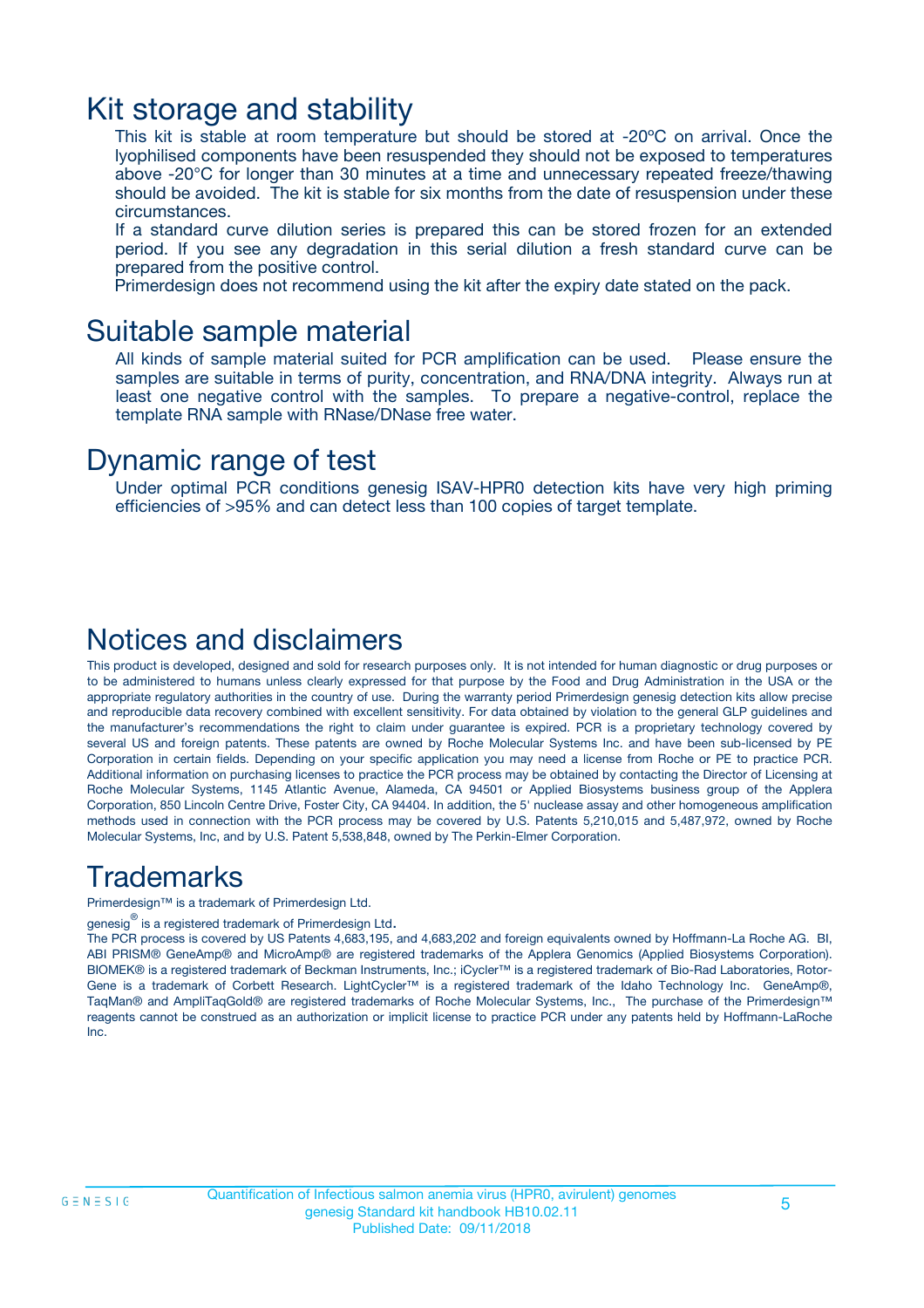### Kit storage and stability

This kit is stable at room temperature but should be stored at -20ºC on arrival. Once the lyophilised components have been resuspended they should not be exposed to temperatures above -20°C for longer than 30 minutes at a time and unnecessary repeated freeze/thawing should be avoided. The kit is stable for six months from the date of resuspension under these circumstances.

If a standard curve dilution series is prepared this can be stored frozen for an extended period. If you see any degradation in this serial dilution a fresh standard curve can be prepared from the positive control.

Primerdesign does not recommend using the kit after the expiry date stated on the pack.

### Suitable sample material

All kinds of sample material suited for PCR amplification can be used. Please ensure the samples are suitable in terms of purity, concentration, and RNA/DNA integrity. Always run at least one negative control with the samples. To prepare a negative-control, replace the template RNA sample with RNase/DNase free water.

### Dynamic range of test

Under optimal PCR conditions genesig ISAV-HPR0 detection kits have very high priming efficiencies of >95% and can detect less than 100 copies of target template.

### Notices and disclaimers

This product is developed, designed and sold for research purposes only. It is not intended for human diagnostic or drug purposes or to be administered to humans unless clearly expressed for that purpose by the Food and Drug Administration in the USA or the appropriate regulatory authorities in the country of use. During the warranty period Primerdesign genesig detection kits allow precise and reproducible data recovery combined with excellent sensitivity. For data obtained by violation to the general GLP guidelines and the manufacturer's recommendations the right to claim under guarantee is expired. PCR is a proprietary technology covered by several US and foreign patents. These patents are owned by Roche Molecular Systems Inc. and have been sub-licensed by PE Corporation in certain fields. Depending on your specific application you may need a license from Roche or PE to practice PCR. Additional information on purchasing licenses to practice the PCR process may be obtained by contacting the Director of Licensing at Roche Molecular Systems, 1145 Atlantic Avenue, Alameda, CA 94501 or Applied Biosystems business group of the Applera Corporation, 850 Lincoln Centre Drive, Foster City, CA 94404. In addition, the 5' nuclease assay and other homogeneous amplification methods used in connection with the PCR process may be covered by U.S. Patents 5,210,015 and 5,487,972, owned by Roche Molecular Systems, Inc, and by U.S. Patent 5,538,848, owned by The Perkin-Elmer Corporation.

### Trademarks

Primerdesign™ is a trademark of Primerdesign Ltd.

genesig $^\circledR$  is a registered trademark of Primerdesign Ltd.

The PCR process is covered by US Patents 4,683,195, and 4,683,202 and foreign equivalents owned by Hoffmann-La Roche AG. BI, ABI PRISM® GeneAmp® and MicroAmp® are registered trademarks of the Applera Genomics (Applied Biosystems Corporation). BIOMEK® is a registered trademark of Beckman Instruments, Inc.; iCycler™ is a registered trademark of Bio-Rad Laboratories, Rotor-Gene is a trademark of Corbett Research. LightCycler™ is a registered trademark of the Idaho Technology Inc. GeneAmp®, TaqMan® and AmpliTaqGold® are registered trademarks of Roche Molecular Systems, Inc., The purchase of the Primerdesign™ reagents cannot be construed as an authorization or implicit license to practice PCR under any patents held by Hoffmann-LaRoche Inc.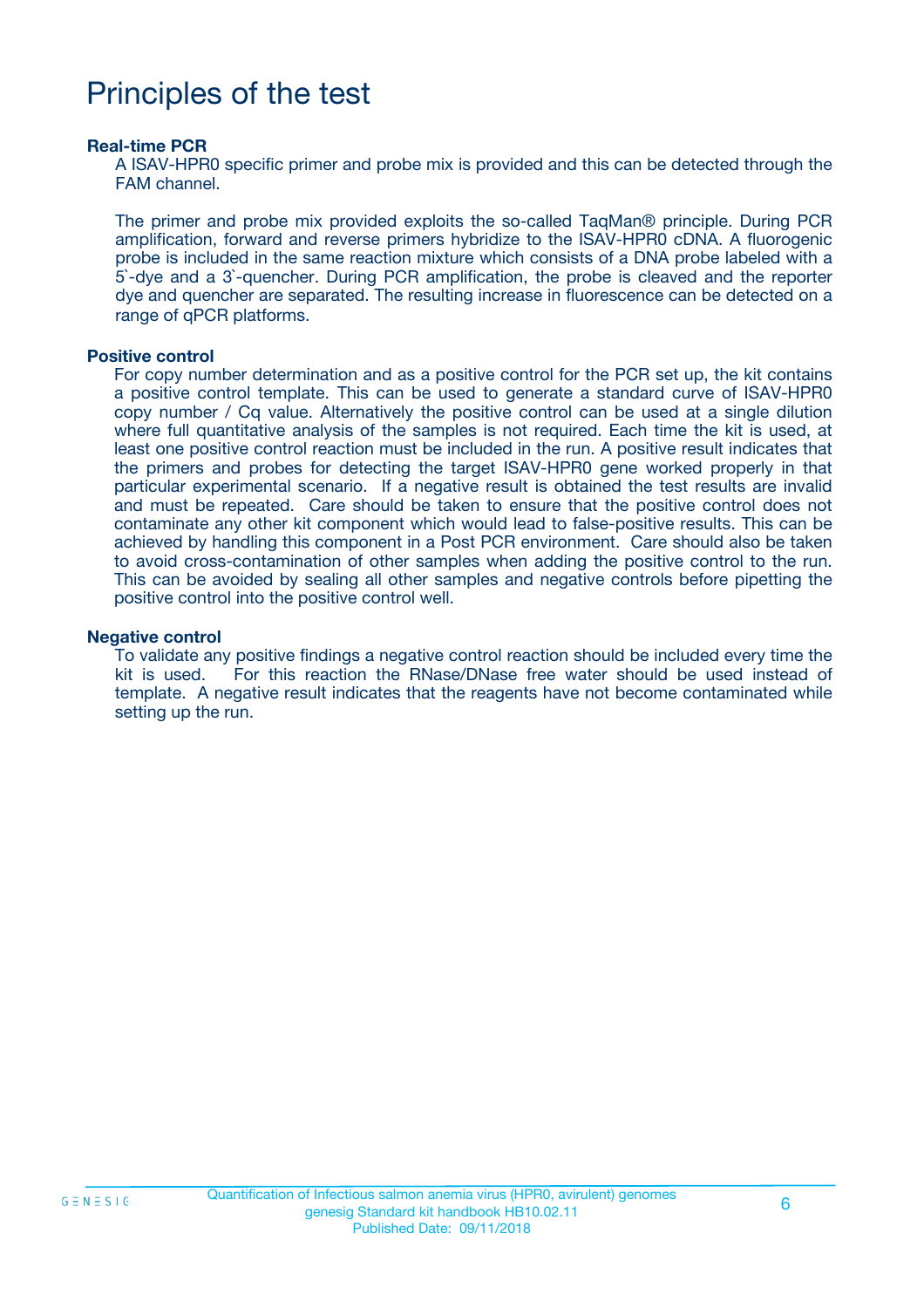# Principles of the test

#### **Real-time PCR**

A ISAV-HPR0 specific primer and probe mix is provided and this can be detected through the FAM channel.

The primer and probe mix provided exploits the so-called TaqMan® principle. During PCR amplification, forward and reverse primers hybridize to the ISAV-HPR0 cDNA. A fluorogenic probe is included in the same reaction mixture which consists of a DNA probe labeled with a 5`-dye and a 3`-quencher. During PCR amplification, the probe is cleaved and the reporter dye and quencher are separated. The resulting increase in fluorescence can be detected on a range of qPCR platforms.

#### **Positive control**

For copy number determination and as a positive control for the PCR set up, the kit contains a positive control template. This can be used to generate a standard curve of ISAV-HPR0 copy number / Cq value. Alternatively the positive control can be used at a single dilution where full quantitative analysis of the samples is not required. Each time the kit is used, at least one positive control reaction must be included in the run. A positive result indicates that the primers and probes for detecting the target ISAV-HPR0 gene worked properly in that particular experimental scenario. If a negative result is obtained the test results are invalid and must be repeated. Care should be taken to ensure that the positive control does not contaminate any other kit component which would lead to false-positive results. This can be achieved by handling this component in a Post PCR environment. Care should also be taken to avoid cross-contamination of other samples when adding the positive control to the run. This can be avoided by sealing all other samples and negative controls before pipetting the positive control into the positive control well.

#### **Negative control**

To validate any positive findings a negative control reaction should be included every time the kit is used. For this reaction the RNase/DNase free water should be used instead of template. A negative result indicates that the reagents have not become contaminated while setting up the run.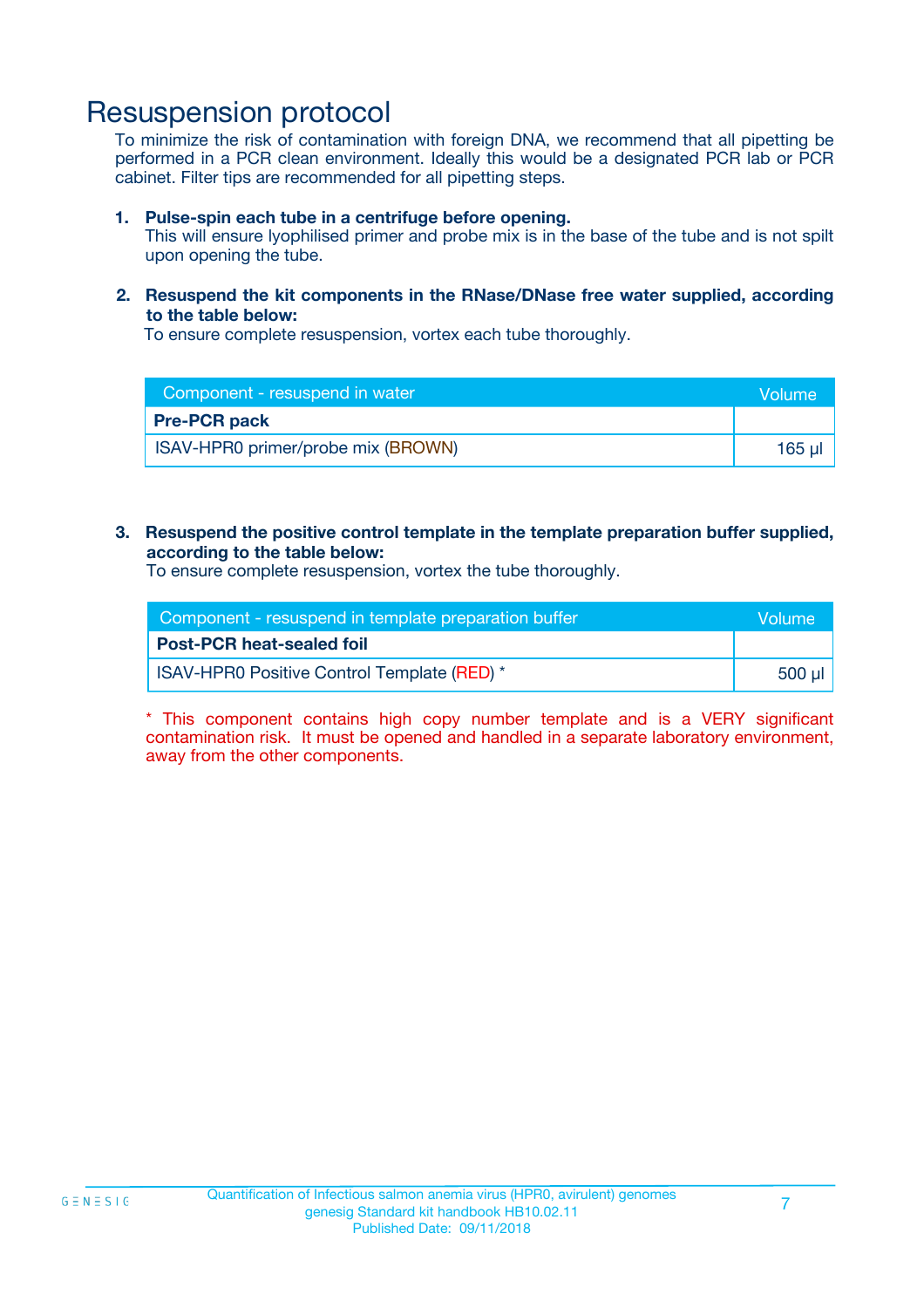### Resuspension protocol

To minimize the risk of contamination with foreign DNA, we recommend that all pipetting be performed in a PCR clean environment. Ideally this would be a designated PCR lab or PCR cabinet. Filter tips are recommended for all pipetting steps.

#### **1. Pulse-spin each tube in a centrifuge before opening.**

This will ensure lyophilised primer and probe mix is in the base of the tube and is not spilt upon opening the tube.

#### **2. Resuspend the kit components in the RNase/DNase free water supplied, according to the table below:**

To ensure complete resuspension, vortex each tube thoroughly.

| Component - resuspend in water     | <b>Nolume</b> |
|------------------------------------|---------------|
| <b>Pre-PCR pack</b>                |               |
| ISAV-HPR0 primer/probe mix (BROWN) | 165 ul        |

#### **3. Resuspend the positive control template in the template preparation buffer supplied, according to the table below:**

To ensure complete resuspension, vortex the tube thoroughly.

| Component - resuspend in template preparation buffer |                      |  |
|------------------------------------------------------|----------------------|--|
| <b>Post-PCR heat-sealed foil</b>                     |                      |  |
| ISAV-HPR0 Positive Control Template (RED) *          | ี 500 ม <sup>ู</sup> |  |

\* This component contains high copy number template and is a VERY significant contamination risk. It must be opened and handled in a separate laboratory environment, away from the other components.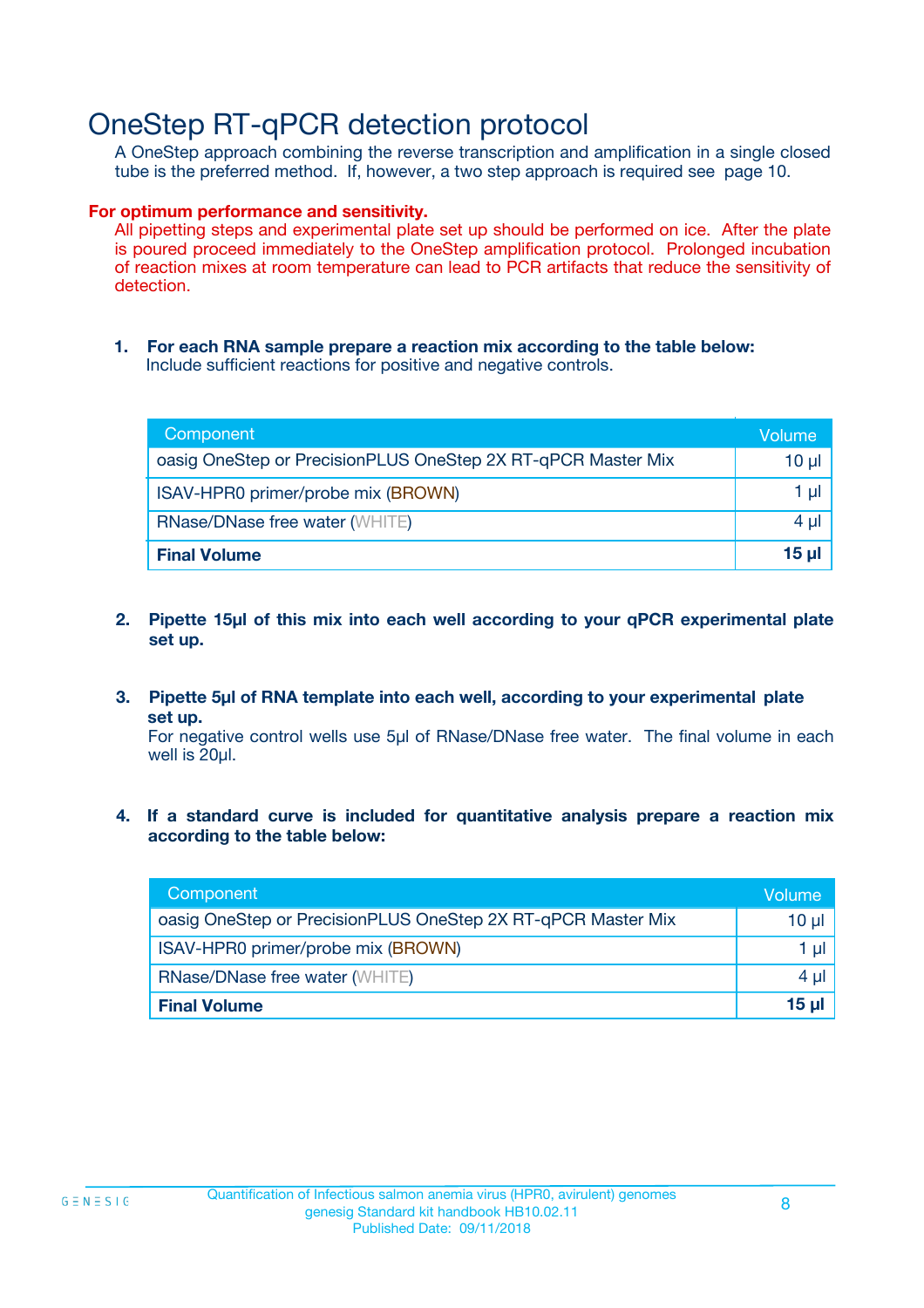# OneStep RT-qPCR detection protocol

A OneStep approach combining the reverse transcription and amplification in a single closed tube is the preferred method. If, however, a two step approach is required see page 10.

#### **For optimum performance and sensitivity.**

All pipetting steps and experimental plate set up should be performed on ice. After the plate is poured proceed immediately to the OneStep amplification protocol. Prolonged incubation of reaction mixes at room temperature can lead to PCR artifacts that reduce the sensitivity of detection.

**1. For each RNA sample prepare a reaction mix according to the table below:** Include sufficient reactions for positive and negative controls.

| Component                                                    | Volume   |
|--------------------------------------------------------------|----------|
| oasig OneStep or PrecisionPLUS OneStep 2X RT-qPCR Master Mix | $10 \mu$ |
| ISAV-HPR0 primer/probe mix (BROWN)                           | 1 µl     |
| <b>RNase/DNase free water (WHITE)</b>                        | $4 \mu$  |
| <b>Final Volume</b>                                          | $15$ µ   |

- **2. Pipette 15µl of this mix into each well according to your qPCR experimental plate set up.**
- **3. Pipette 5µl of RNA template into each well, according to your experimental plate set up.**

For negative control wells use 5µl of RNase/DNase free water. The final volume in each well is 20ul.

**4. If a standard curve is included for quantitative analysis prepare a reaction mix according to the table below:**

| Component                                                    | Volume   |
|--------------------------------------------------------------|----------|
| oasig OneStep or PrecisionPLUS OneStep 2X RT-qPCR Master Mix | $10 \mu$ |
| ISAV-HPR0 primer/probe mix (BROWN)                           | 1 µl     |
| <b>RNase/DNase free water (WHITE)</b>                        | $4 \mu$  |
| <b>Final Volume</b>                                          | 15 ul    |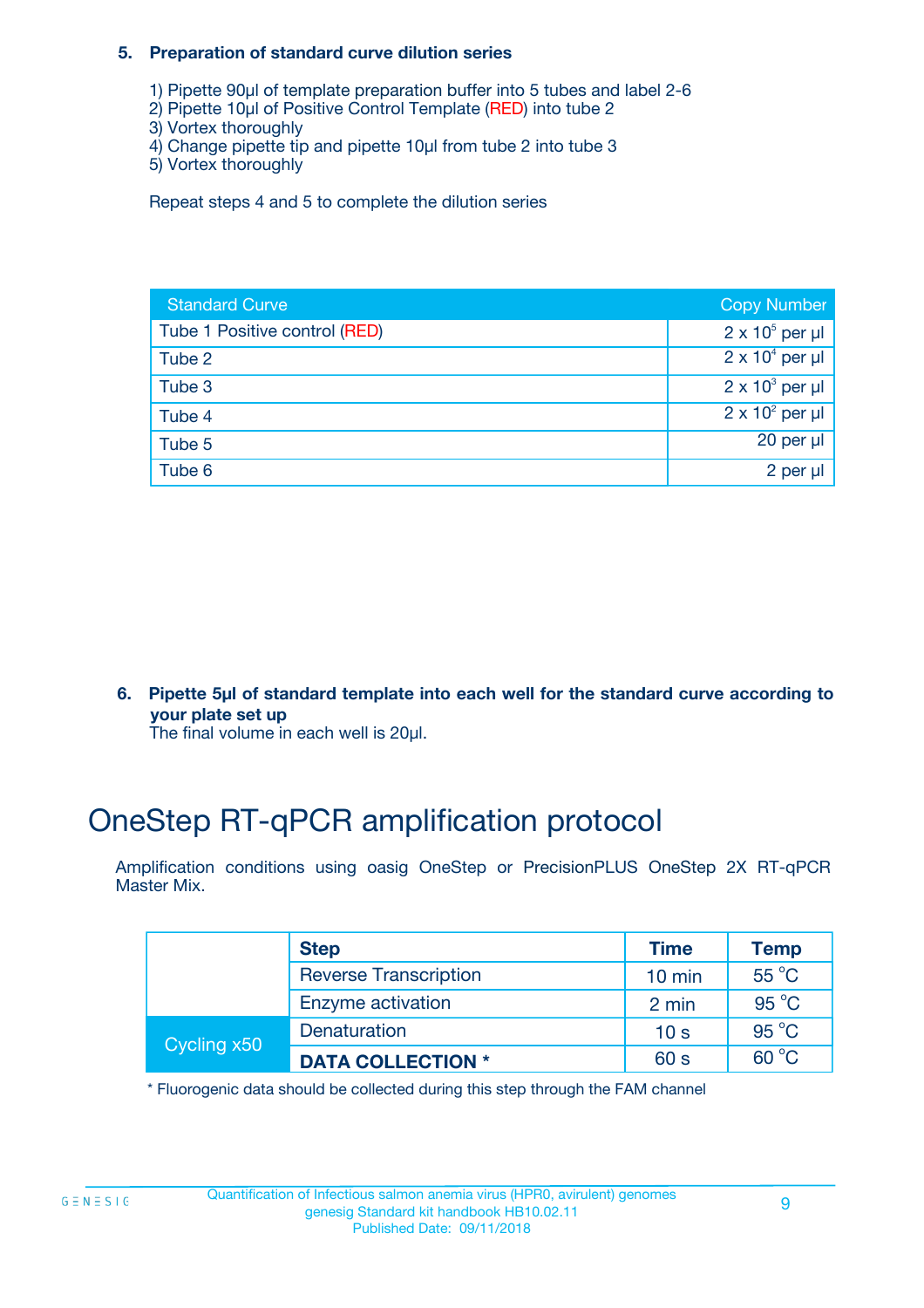#### **5. Preparation of standard curve dilution series**

- 1) Pipette 90µl of template preparation buffer into 5 tubes and label 2-6
- 2) Pipette 10µl of Positive Control Template (RED) into tube 2
- 3) Vortex thoroughly
- 4) Change pipette tip and pipette 10µl from tube 2 into tube 3
- 5) Vortex thoroughly

Repeat steps 4 and 5 to complete the dilution series

| <b>Standard Curve</b>         | <b>Copy Number</b>     |
|-------------------------------|------------------------|
| Tube 1 Positive control (RED) | $2 \times 10^5$ per µl |
| Tube 2                        | $2 \times 10^4$ per µl |
| Tube 3                        | $2 \times 10^3$ per µl |
| Tube 4                        | $2 \times 10^2$ per µl |
| Tube 5                        | 20 per $\mu$           |
| Tube 6                        | 2 per µl               |

**6. Pipette 5µl of standard template into each well for the standard curve according to your plate set up**

The final volume in each well is 20ul.

# OneStep RT-qPCR amplification protocol

Amplification conditions using oasig OneStep or PrecisionPLUS OneStep 2X RT-qPCR Master Mix.

|             | <b>Step</b>                  | <b>Time</b>      | <b>Temp</b>    |
|-------------|------------------------------|------------------|----------------|
|             | <b>Reverse Transcription</b> | $10 \text{ min}$ | 55 °C          |
|             | Enzyme activation            | 2 min            | $95^{\circ}$ C |
| Cycling x50 | Denaturation                 | 10 <sub>s</sub>  | $95^{\circ}$ C |
|             | <b>DATA COLLECTION *</b>     | 60 s             | $60^{\circ}$ C |

\* Fluorogenic data should be collected during this step through the FAM channel